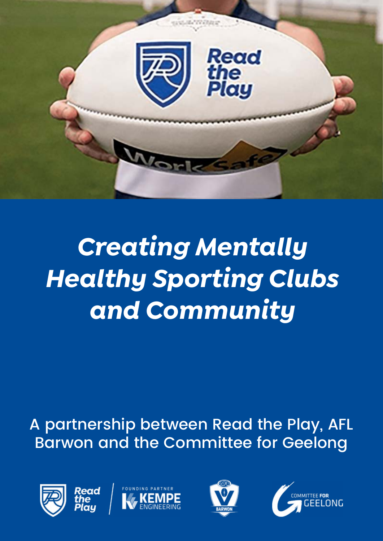

A partnership between Read the Play, AFL Barwon and the Committee for Geelong







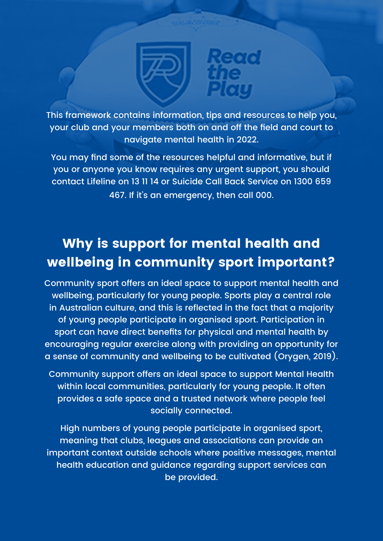

This framework contains information, tips and resources to help you, your club and your members both on and off the field and court to navigate mental health in 2022.

You may find some of the resources helpful and informative, but if you or anyone you know requires any urgent support, you should contact Lifeline on 13 11 14 or Suicide Call Back Service on 1300 659 467. If it's an emergency, then call 000.

### **Why is support for mental health and wellbeing in community sport important?**

Community sport offers an ideal space to support mental health and wellbeing, particularly for young people. Sports play a central role in Australian culture, and this is reflected in the fact that a majority of young people participate in organised sport. Participation in sport can have direct benefits for physical and mental health by encouraging regular exercise along with providing an opportunity for a sense of community and wellbeing to be cultivated (Orygen, 2019).

Community support offers an ideal space to support Mental Health within local communities, particularly for young people. It often provides a safe space and a trusted network where people feel socially connected.

High numbers of young people participate in organised sport, meaning that clubs, leagues and associations can provide an important context outside schools where positive messages, mental health education and guidance regarding support services can be provided.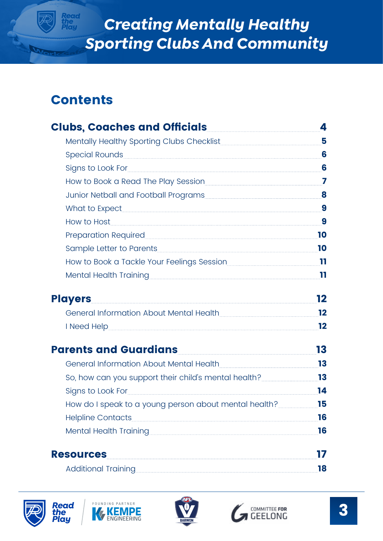### **Contents**

Reac<br>the<br>Play

| Clubs, Coaches and Officials <b>Clubs</b> , Coaches and Officials                                                                                                                                                                    | 4                       |
|--------------------------------------------------------------------------------------------------------------------------------------------------------------------------------------------------------------------------------------|-------------------------|
|                                                                                                                                                                                                                                      | 5                       |
| Special Rounds                                                                                                                                                                                                                       | 6                       |
| Signs to Look For Sandwick Commission of the Signs to Look For Sandwick Commission Commission Commission                                                                                                                             | 6                       |
| How to Book a Read The Play Session                                                                                                                                                                                                  | $\overline{\mathbf{z}}$ |
| Junior Netball and Football Programs 8                                                                                                                                                                                               |                         |
|                                                                                                                                                                                                                                      | 9                       |
| How to Host <b>Executive Service Service Service Service Service Service Service Service Service Service Service Service Service Service Service Service Service Service Service Service Service Service Service Service Service</b> | 9                       |
| Preparation Required <b>Manual Preparation</b>                                                                                                                                                                                       | 10                      |
|                                                                                                                                                                                                                                      | 10                      |
| How to Book a Tackle Your Feelings Session                                                                                                                                                                                           | 11                      |
| Mental Health Training                                                                                                                                                                                                               | 11                      |
| <b>Players</b>                                                                                                                                                                                                                       | 12                      |
| General Information About Mental Health                                                                                                                                                                                              | 12                      |
|                                                                                                                                                                                                                                      | 12                      |
| Parents and Guardians Parameters and Cuardians                                                                                                                                                                                       | 13                      |
| General Information About Mental Health                                                                                                                                                                                              | 13                      |
| So, how can you support their child's mental health?                                                                                                                                                                                 | 13                      |
| Signs to Look For Sandwick Contract to Look For Signs to Look For Sandwick Contract Contract Contract Contract Contract Contract Contract Contract Contract Contract Contract Contract Contract Contract Contract Contract Con       | 14                      |
| How do I speak to a young person about mental health?                                                                                                                                                                                | 15                      |
| <b>Helpline Contacts</b>                                                                                                                                                                                                             | 16                      |
| <b>Mental Health Training</b>                                                                                                                                                                                                        | 16                      |
| <b>Resources</b>                                                                                                                                                                                                                     | 17                      |
| Additional Training <b>Manual Additional Training</b>                                                                                                                                                                                | 18                      |







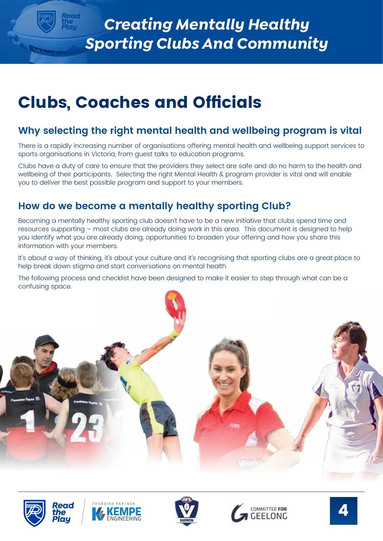## <span id="page-3-0"></span>**Clubs, Coaches and Officials**

#### **Why selecting the right mental health and wellbeing program is vital**

There is a rapidly increasing number of organisations offering mental health and wellbeing support services to sports organisations in Victoria, from guest talks to education programs.

Clubs have a duty of care to ensure that the providers they select are safe and do no harm to the health and wellbeing of their participants. Selecting the right Mental Health & program provider is vital and will enable you to deliver the best possible program and support to your members.

### **How do we become a mentally healthy sporting Club?**

Becoming a mentally healthy sporting club doesn't have to be a new initiative that clubs spend time and resources supporting – most clubs are already doing work in this area. This document is designed to help you identify what you are already doing, opportunities to broaden your offering and how you share this information with your members.

It's about a way of thinking, it's about your culture and it's recognising that sporting clubs are a great place to help break down stigma and start conversations on mental health.

The following process and checklist have been designed to make it easier to step through what can be a confusing space.











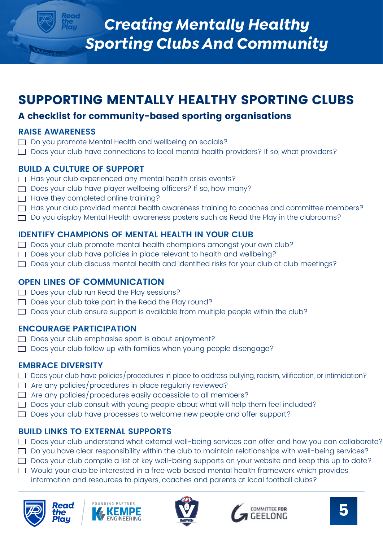### <span id="page-4-0"></span>**SUPPORTING MENTALLY HEALTHY SPORTING CLUBS**

#### **A checklist for community-based sporting organisations**

#### **RAISE AWARENESS**

- $\Box$  Do you promote Mental Health and wellbeing on socials?
- Does your club have connections to local mental health providers? If so, what providers?

#### **BUILD A CULTURE OF SUPPORT**

- $\Box$  Has your club experienced any mental health crisis events?
- $\Box$  Does your club have player wellbeing officers? If so, how many?
- $\Box$  Have they completed online training?
- Has your club provided mental health awareness training to coaches and committee members?
- Do you display Mental Health awareness posters such as Read the Play in the clubrooms?

#### **IDENTIFY CHAMPIONS OF MENTAL HEALTH IN YOUR CLUB**

- $\Box$  Does your club promote mental health champions amongst your own club?
- Does your club have policies in place relevant to health and wellbeing?
- Does your club discuss mental health and identified risks for your club at club meetings?

#### **OPEN LINES OF COMMUNICATION**

- $\Box$  Does your club run Read the Play sessions?
- $\Box$  Does your club take part in the Read the Play round?
- $\Box$  Does your club ensure support is available from multiple people within the club?

#### **ENCOURAGE PARTICIPATION**

- $\Box$  Does your club emphasise sport is about enjoyment?
- Does your club follow up with families when young people disengage?

#### **EMBRACE DIVERSITY**

- Does your club have policies/procedures in place to address bullying, racism, vilification, or intimidation?
- $\Box$  Are any policies/procedures in place regularly reviewed?
- $\Box$  Are any policies/procedures easily accessible to all members?
- $\Box$  Does your club consult with young people about what will help them feel included?
- $\Box$  Does your club have processes to welcome new people and offer support?

#### **BUILD LINKS TO EXTERNAL SUPPORTS**

- Does your club understand what external well-being services can offer and how you can collaborate?
- Do you have clear responsibility within the club to maintain relationships with well-being services?
- $\Box$  Does your club compile a list of key well-being supports on your website and keep this up to date?
- Would your club be interested in a free web based mental health framework which provides information and resources to players, coaches and parents at local football clubs?









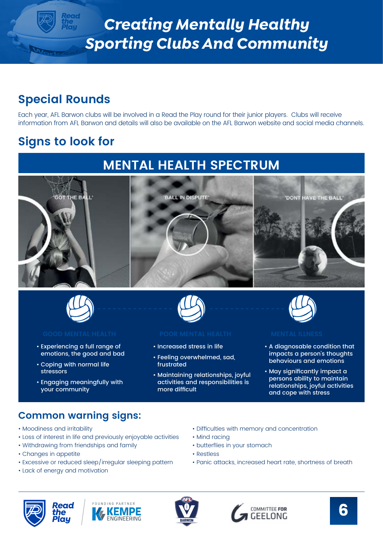### <span id="page-5-0"></span>**Special Rounds**

Each year, AFL Barwon clubs will be involved in a Read the Play round for their junior players. Clubs will receive information from AFL Barwon and details will also be available on the AFL Barwon website and social media channels.

### **Signs to look for**

### **MENTAL HEALTH SPECTRUM**





- Experiencing a full range of emotions, the good and bad
- Coping with normal life stressors
- Engaging meaningfully with your community



- Increased stress in life
- Feeling overwhelmed, sad, frustrated
- Maintaining relationships, joyful activities and responsibilities is more difficult



- A diagnosable condition that impacts a person's thoughts behaviours and emotions
- May significantly impact a persons ability to maintain relationships, joyful activities and cope with stress

#### **Common warning signs:**

- Moodiness and irritability
- Loss of interest in life and previously enjoyable activities
- Withdrawing from friendships and family
- Changes in appetite
- Excessive or reduced sleep/irregular sleeping pattern
- Lack of energy and motivation







- Difficulties with memory and concentration • Mind racing
- butterflies in your stomach
- Restless
- Panic attacks, increased heart rate, shortness of breath



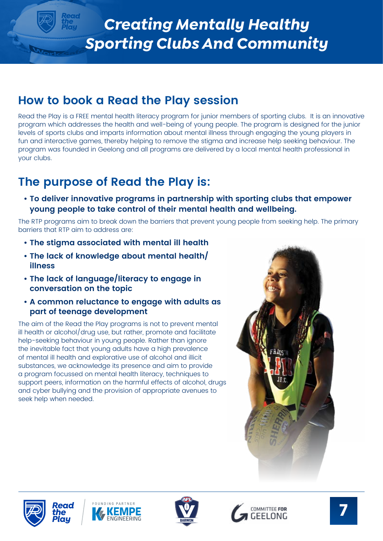### <span id="page-6-0"></span>**How to book a Read the Play session**

Read the Play is a FREE mental health literacy program for junior members of sporting clubs. It is an innovative program which addresses the health and well-being of young people. The program is designed for the junior levels of sports clubs and imparts information about mental illness through engaging the young players in fun and interactive games, thereby helping to remove the stigma and increase help seeking behaviour. The program was founded in Geelong and all programs are delivered by a local mental health professional in your clubs.

### **The purpose of Read the Play is:**

**• To deliver innovative programs in partnership with sporting clubs that empower young people to take control of their mental health and wellbeing.**

The RTP programs aim to break down the barriers that prevent young people from seeking help. The primary barriers that RTP aim to address are:

- **The stigma associated with mental ill health**
- **The lack of knowledge about mental health/ illness**
- **The lack of language/literacy to engage in conversation on the topic**
- **A common reluctance to engage with adults as part of teenage development**

The aim of the Read the Play programs is not to prevent mental ill health or alcohol/drug use, but rather, promote and facilitate help-seeking behaviour in young people. Rather than ignore the inevitable fact that young adults have a high prevalence of mental ill health and explorative use of alcohol and illicit substances, we acknowledge its presence and aim to provide a program focussed on mental health literacy, techniques to support peers, information on the harmful effects of alcohol, drugs and cyber bullying and the provision of appropriate avenues to seek help when needed.











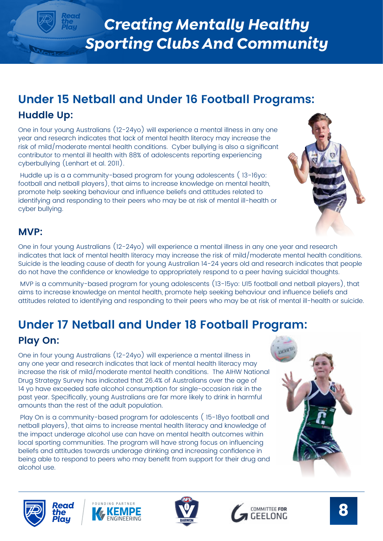### **Under 15 Netball and Under 16 Football Programs: Huddle Up:**

One in four young Australians (12-24yo) will experience a mental illness in any one year and research indicates that lack of mental health literacy may increase the risk of mild/moderate mental health conditions. Cyber bullying is also a significant contributor to mental ill health with 88% of adolescents reporting experiencing cyberbullying (Lenhart et al. 2011).

 Huddle up is a a community-based program for young adolescents ( 13-16yo: football and netball players), that aims to increase knowledge on mental health, promote help seeking behaviour and influence beliefs and attitudes related to identifying and responding to their peers who may be at risk of mental ill-health or cyber bullying.

#### **MVP:**

One in four young Australians (12-24yo) will experience a mental illness in any one year and research indicates that lack of mental health literacy may increase the risk of mild/moderate mental health conditions. Suicide is the leading cause of death for young Australian 14-24 years old and research indicates that people do not have the confidence or knowledge to appropriately respond to a peer having suicidal thoughts.

 MVP is a community-based program for young adolescents (13-15yo: U15 football and netball players), that aims to increase knowledge on mental health, promote help seeking behaviour and influence beliefs and attitudes related to identifying and responding to their peers who may be at risk of mental ill-health or suicide.

## **Under 17 Netball and Under 18 Football Program:**

### **Play On:**

One in four young Australians (12-24yo) will experience a mental illness in any one year and research indicates that lack of mental health literacy may increase the risk of mild/moderate mental health conditions. The AIHW National Drug Strategy Survey has indicated that 26.4% of Australians over the age of 14 yo have exceeded safe alcohol consumption for single-occasion risk in the past year. Specifically, young Australians are far more likely to drink in harmful amounts than the rest of the adult population.

 Play On is a community-based program for adolescents ( 15-18yo football and netball players), that aims to increase mental health literacy and knowledge of the impact underage alcohol use can have on mental health outcomes within local sporting communities. The program will have strong focus on influencing beliefs and attitudes towards underage drinking and increasing confidence in being able to respond to peers who may benefit from support for their drug and alcohol use.









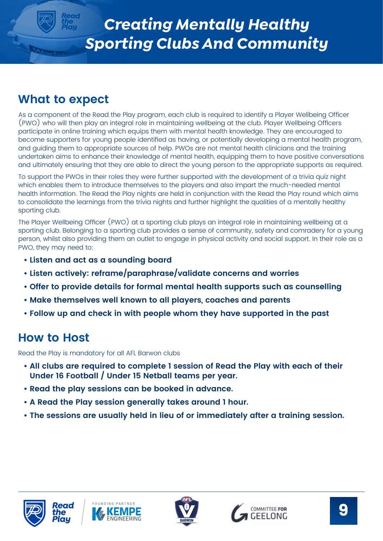### <span id="page-8-0"></span>**What to expect**

As a component of the Read the Play program, each club is required to identify a Player Wellbeing Officer (PWO) who will then play an integral role in maintaining wellbeing at the club. Player Wellbeing Officers participate in online training which equips them with mental health knowledge. They are encouraged to become supporters for young people identified as having, or potentially developing a mental health program, and guiding them to appropriate sources of help. PWOs are not mental health clinicians and the training undertaken aims to enhance their knowledge of mental health, equipping them to have positive conversations and ultimately ensuring that they are able to direct the young person to the appropriate supports as required.

To support the PWOs in their roles they were further supported with the development of a trivia quiz night which enables them to introduce themselves to the players and also impart the much-needed mental health information. The Read the Play nights are held in conjunction with the Read the Play round which aims to consolidate the learnings from the trivia nights and further highlight the qualities of a mentally healthy sporting club.

The Player Wellbeing Officer (PWO) at a sporting club plays an integral role in maintaining wellbeing at a sporting club. Belonging to a sporting club provides a sense of community, safety and comradery for a young person, whilst also providing them an outlet to engage in physical activity and social support. In their role as a PWO, they may need to:

- **Listen and act as a sounding board**
- **Listen actively: reframe/paraphrase/validate concerns and worries**
- **Offer to provide details for formal mental health supports such as counselling**
- **Make themselves well known to all players, coaches and parents**
- **Follow up and check in with people whom they have supported in the past**

### **How to Host**

Read the Play is mandatory for all AFL Barwon clubs

- **All clubs are required to complete 1 session of Read the Play with each of their Under 16 Football / Under 15 Netball teams per year.**
- **Read the play sessions can be booked in advance.**
- **A Read the Play session generally takes around 1 hour.**
- **The sessions are usually held in lieu of or immediately after a training session.**







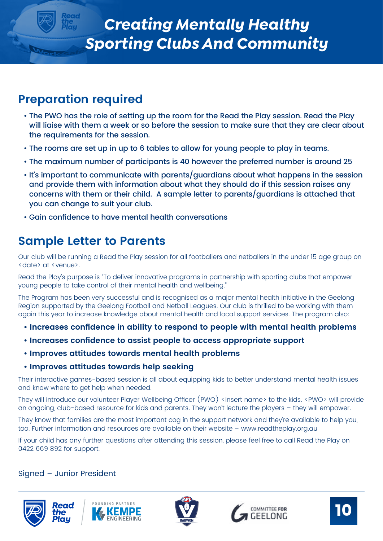### <span id="page-9-0"></span>**Preparation required**

- The PWO has the role of setting up the room for the Read the Play session. Read the Play will liaise with them a week or so before the session to make sure that they are clear about the requirements for the session.
- The rooms are set up in up to 6 tables to allow for young people to play in teams.
- The maximum number of participants is 40 however the preferred number is around 25
- It's important to communicate with parents/guardians about what happens in the session and provide them with information about what they should do if this session raises any concerns with them or their child. A sample letter to parents/guardians is attached that you can change to suit your club.
- Gain confidence to have mental health conversations

### **Sample Letter to Parents**

Our club will be running a Read the Play session for all footballers and netballers in the under 15 age group on <date> at <venue>.

Read the Play's purpose is "To deliver innovative programs in partnership with sporting clubs that empower young people to take control of their mental health and wellbeing."

The Program has been very successful and is recognised as a major mental health initiative in the Geelong Region supported by the Geelong Football and Netball Leagues. Our club is thrilled to be working with them again this year to increase knowledge about mental health and local support services. The program also:

- **Increases confidence in ability to respond to people with mental health problems**
- **Increases confidence to assist people to access appropriate support**
- **Improves attitudes towards mental health problems**

#### **• Improves attitudes towards help seeking**

Their interactive games-based session is all about equipping kids to better understand mental health issues and know where to get help when needed.

They will introduce our volunteer Player Wellbeing Officer (PWO) <insert name> to the kids. <PWO> will provide an ongoing, club-based resource for kids and parents. They won't lecture the players – they will empower.

They know that families are the most important cog in the support network and they're available to help you, too. Further information and resources are available on their website – www.readtheplay.org.au

If your child has any further questions after attending this session, please feel free to call Read the Play on 0422 669 892 for support.

#### Signed – Junior President









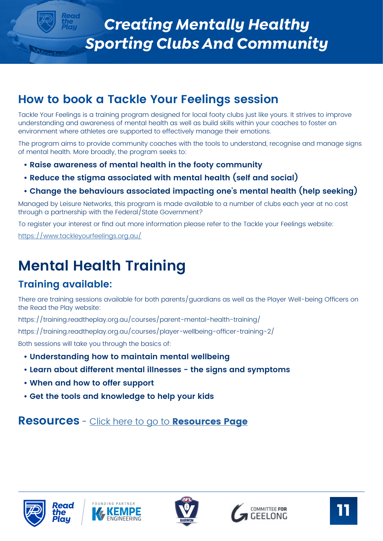### <span id="page-10-0"></span>**How to book a Tackle Your Feelings session**

Tackle Your Feelings is a training program designed for local footy clubs just like yours. It strives to improve understanding and awareness of mental health as well as build skills within your coaches to foster an environment where athletes are supported to effectively manage their emotions.

The program aims to provide community coaches with the tools to understand, recognise and manage signs of mental health. More broadly, the program seeks to:

- **Raise awareness of mental health in the footy community**
- **Reduce the stigma associated with mental health (self and social)**

#### **• Change the behaviours associated impacting one's mental health (help seeking)**

Managed by Leisure Networks, this program is made available to a number of clubs each year at no cost through a partnership with the Federal/State Government?

To register your interest or find out more information please refer to the Tackle your Feelings website:

<https://www.tackleyourfeelings.org.au/>

## **Mental Health Training**

### **Training available:**

There are training sessions available for both parents/guardians as well as the Player Well-being Officers on the Read the Play website:

https://training.readtheplay.org.au/courses/parent-mental-health-training/

https://training.readtheplay.org.au/courses/player-wellbeing-officer-training-2/

Both sessions will take you through the basics of:

- **Understanding how to maintain mental wellbeing**
- **Learn about different mental illnesses the signs and symptoms**
- **When and how to offer support**
- **Get the tools and knowledge to help your kids**

**Resources** - [Click here to go to](#page-16-0) **Resources Page**









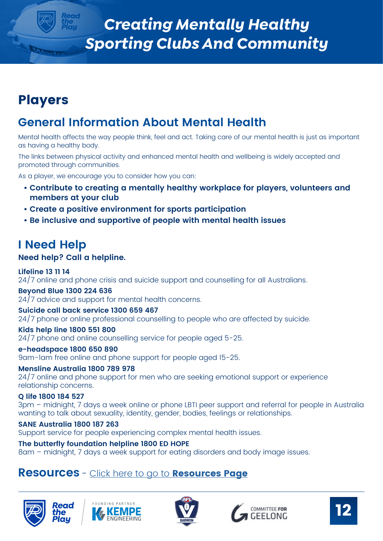## <span id="page-11-0"></span>**Players**

### **General Information About Mental Health**

Mental health affects the way people think, feel and act. Taking care of our mental health is just as important as having a healthy body.

The links between physical activity and enhanced mental health and wellbeing is widely accepted and promoted through communities.

As a player, we encourage you to consider how you can:

- **Contribute to creating a mentally healthy workplace for players, volunteers and members at your club**
- **Create a positive environment for sports participation**
- **Be inclusive and supportive of people with mental health issues**

### **I Need Help**

#### **Need help? Call a helpline.**

#### **Lifeline 13 11 14**

24/7 online and phone crisis and suicide support and counselling for all Australians.

#### **Beyond Blue 1300 224 636**

24/7 advice and support for mental health concerns.

#### **Suicide call back service 1300 659 467**

24/7 phone or online professional counselling to people who are affected by suicide.

#### **Kids help line 1800 551 800**

24/7 phone and online counselling service for people aged 5-25.

#### **e-headspace 1800 650 890**

9am-1am free online and phone support for people aged 15-25.

**Mensline Australia 1800 789 978** 24/7 online and phone support for men who are seeking emotional support or experience relationship concerns.

#### **Q life 1800 184 527**

3pm – midnight, 7 days a week online or phone LBTI peer support and referral for people in Australia wanting to talk about sexuality, identity, gender, bodies, feelings or relationships.

#### **SANE Australia 1800 187 263**

ead

Support service for people experiencing complex mental health issues.

#### **The butterfly foundation helpline 1800 ED HOPE**

8am – midnight, 7 days a week support for eating disorders and body image issues.

#### **Resources** - [Click here to go to](#page-16-0) **Resources Page**









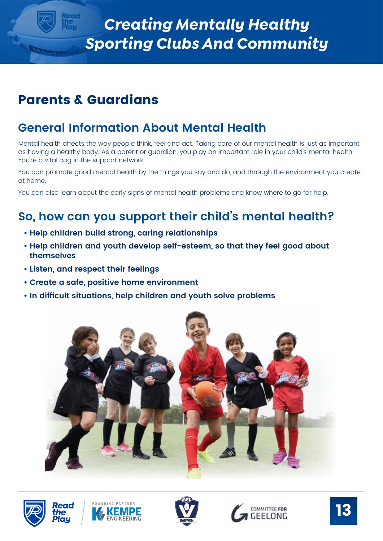## <span id="page-12-0"></span>**Parents & Guardians**

### **General Information About Mental Health**

Mental health affects the way people think, feel and act. Taking care of our mental health is just as important as having a healthy body. As a parent or guardian, you play an important role in your child's mental health. You're a vital coa in the support network.

You can promote good mental health by the things you say and do, and through the environment you create at home.

You can also learn about the early signs of mental health problems and know where to go for help.

### **So, how can you support their child's mental health?**

- **Help children build strong, caring relationships**
- **Help children and youth develop self-esteem, so that they feel good about themselves**
- **Listen, and respect their feelings**
- **Create a safe, positive home environment**
- **In difficult situations, help children and youth solve problems**











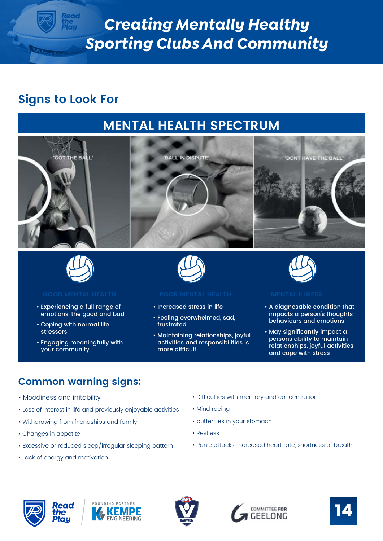### <span id="page-13-0"></span>**Signs to Look For**

## **MENTAL HEALTH SPECTRUM**





- Experiencing a full range of emotions, the good and bad
- Coping with normal life stressors
- Engaging meaningfully with your community



- Increased stress in life
- Feeling overwhelmed, sad, frustrated
- Maintaining relationships, joyful activities and responsibilities is more difficult



- A diagnosable condition that impacts a person's thoughts behaviours and emotions
- May significantly impact a persons ability to maintain relationships, joyful activities and cope with stress

### **Common warning signs:**

- Moodiness and irritability
- Loss of interest in life and previously enjoyable activities
- Withdrawing from friendships and family
- Changes in appetite
- Excessive or reduced sleep/irregular sleeping pattern
- Lack of energy and motivation

- Difficulties with memory and concentration
- Mind racing
- butterflies in your stomach
- Restless
- Panic attacks, increased heart rate, shortness of breath









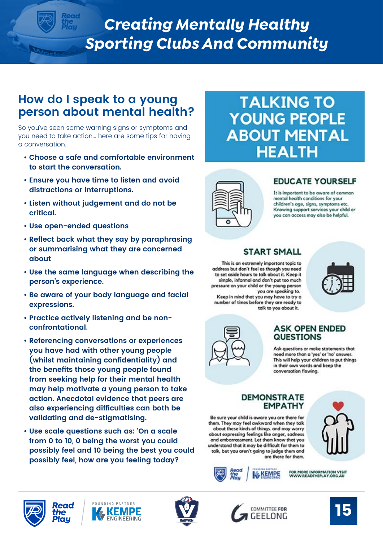### <span id="page-14-0"></span>**How do I speak to a young person about mental health?**

So you've seen some warning signs or symptoms and you need to take action… here are some tips for having a conversation..

- **Choose a safe and comfortable environment to start the conversation.**
- **Ensure you have time to listen and avoid distractions or interruptions.**
- **Listen without judgement and do not be critical.**
- **Use open-ended questions**
- **Reflect back what they say by paraphrasing or summarising what they are concerned about**
- **Use the same language when describing the person's experience.**
- **Be aware of your body language and facial expressions.**
- **Practice actively listening and be nonconfrontational.**
- **Referencing conversations or experiences you have had with other young people (whilst maintaining confidentiality) and the benefits those young people found from seeking help for their mental health may help motivate a young person to take action. Anecdotal evidence that peers are also experiencing difficulties can both be validating and de-stigmatising.**
- **Use scale questions such as: 'On a scale from 0 to 10, 0 being the worst you could possibly feel and 10 being the best you could possibly feel, how are you feeling today?**

## **TALKING TO YOUNG PEOPLE ABOUT MENTAL HEALTH**



#### **EDUCATE YOURSELF**

It is important to be aware of common mental health conditions for your children's age, signs, symptoms etc. Knowing support services your child or you can access may also be helpful.



This is an extremely important topic to address but don't feel as though you need to set aside hours to talk about it. Keep it simple, informal and don't put too much pressure on your child or the young person

Keep in mind that you may have to try a number of times before they are ready to

**START SMALL** 

you are speaking to.

talk to you about it.



#### **ASK OPEN ENDED QUESTIONS**

Ask questions or make statements that need more than a 'yes' or 'no' answer. This will help your children to put things in their own words and keep the conversation flowing.

#### **DEMONSTRATE EMPATHY**

Be sure your child is aware you are there for them. They may feel awkward when they talk about these kinds of things, and may worry about expressing feelings like anger, sadness and embarrassment. Let them know that you understand that it may be difficult for them to talk, but you aren't going to judge them and are there for them.



FOR MORE INFORMATION VISIT<br>WWW.READTHEPLAY.ORG.AU KEMPE







**Pead** 

'he



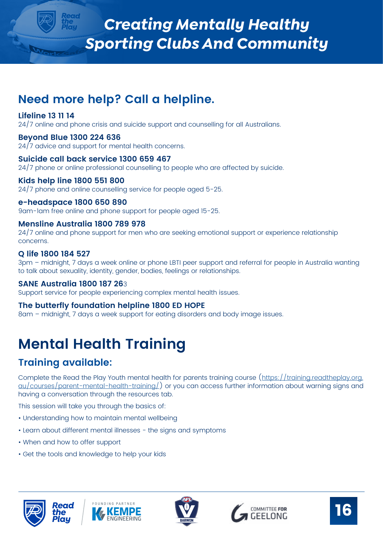### <span id="page-15-0"></span>**Need more help? Call a helpline.**

#### **Lifeline 13 11 14**

24/7 online and phone crisis and suicide support and counselling for all Australians.

#### **Beyond Blue 1300 224 636**

 $24/7$  advice and support for mental health concerns.

#### **Suicide call back service 1300 659 467**

24/7 phone or online professional counselling to people who are affected by suicide.

#### **Kids help line 1800 551 800**

24/7 phone and online counselling service for people aged 5-25.

#### **e-headspace 1800 650 890**

9am-1am free online and phone support for people aged 15-25.

#### **Mensline Australia 1800 789 978**

24/7 online and phone support for men who are seeking emotional support or experience relationship concerns.

#### **Q life 1800 184 527**

3pm – midnight, 7 days a week online or phone LBTI peer support and referral for people in Australia wanting to talk about sexuality, identity, gender, bodies, feelings or relationships.

#### **SANE Australia 1800 187 26**3

Support service for people experiencing complex mental health issues.

#### **The butterfly foundation helpline 1800 ED HOPE**

8am – midnight, 7 days a week support for eating disorders and body image issues.

## **Mental Health Training**

### **Training available:**

Complete the Read the Play Youth mental health for parents training course [\(https://training.readtheplay.org.](https://training.readtheplay.org.au/courses/parent-mental-health-training/) [au/courses/parent-mental-health-training/\)](https://training.readtheplay.org.au/courses/parent-mental-health-training/) or you can access further information about warning signs and having a conversation through the resources tab.

This session will take you through the basics of:

- Understanding how to maintain mental wellbeing
- Learn about different mental illnesses the signs and symptoms
- When and how to offer support
- Get the tools and knowledge to help your kids









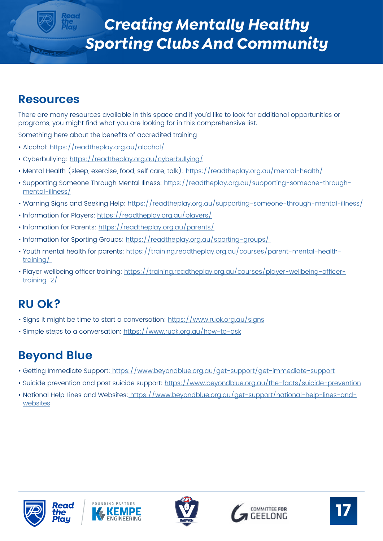### <span id="page-16-0"></span>**Resources**

There are many resources available in this space and if you'd like to look for additional opportunities or programs, you might find what you are looking for in this comprehensive list.

Something here about the benefits of accredited training

- Alcohol:<https://readtheplay.org.au/alcohol/>
- Cyberbullying:<https://readtheplay.org.au/cyberbullying/>
- Mental Health (sleep, exercise, food, self care, talk): <https://readtheplay.org.au/mental-health/>
- Supporting Someone Through Mental Illness: [https://readtheplay.org.au/supporting-someone-through](https://readtheplay.org.au/supporting-someone-through-mental-illness/)[mental-illness/](https://readtheplay.org.au/supporting-someone-through-mental-illness/)
- Warning Signs and Seeking Help:<https://readtheplay.org.au/supporting-someone-through-mental-illness/>
- Information for Players:<https://readtheplay.org.au/players/>
- Information for Parents:<https://readtheplay.org.au/parents/>
- Information for Sporting Groups: https://readtheplay.org.au/sporting-groups/
- Youth mental health for parents: [https://training.readtheplay.org.au/courses/parent-mental-health](https://training.readtheplay.org.au/courses/parent-mental-health-training/)[training/](https://training.readtheplay.org.au/courses/parent-mental-health-training/)
- Player wellbeing officer training: [https://training.readtheplay.org.au/courses/player-wellbeing-officer](https://training.readtheplay.org.au/courses/player-wellbeing-officer-training-2/)[training-2/](https://training.readtheplay.org.au/courses/player-wellbeing-officer-training-2/)

### **RU Ok?**

- Signs it might be time to start a conversation:<https://www.ruok.org.au/signs>
- Simple steps to a conversation:<https://www.ruok.org.au/how-to-ask>

### **Beyond Blue**

- Getting Immediate Support:<https://www.beyondblue.org.au/get-support/get-immediate-support>
- Suicide prevention and post suicide support: <https://www.beyondblue.org.au/the-facts/suicide-prevention>
- National Help Lines and Websites: [https://www.beyondblue.org.au/get-support/national-help-lines-and](https://www.beyondblue.org.au/get-support/national-help-lines-and-websites)[websites](https://www.beyondblue.org.au/get-support/national-help-lines-and-websites)









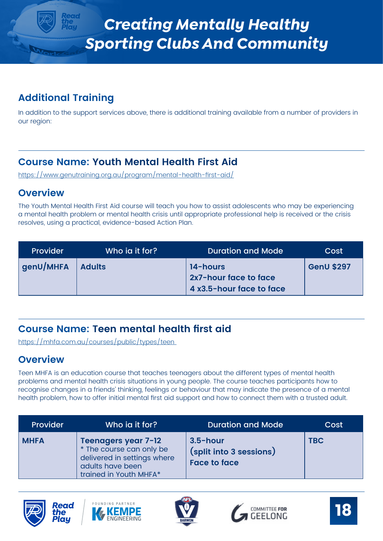### <span id="page-17-0"></span>**Additional Training**

In addition to the support services above, there is additional training available from a number of providers in our region:

### **Course Name: Youth Mental Health First Aid**

<https://www.genutraining.org.au/program/mental-health-first-aid/>

#### **Overview**

The Youth Mental Health First Aid course will teach you how to assist adolescents who may be experiencing a mental health problem or mental health crisis until appropriate professional help is received or the crisis resolves, using a practical, evidence-based Action Plan.

| <b>Provider</b> | Who ia it for? | <b>Duration and Mode</b>                                      | Cost              |
|-----------------|----------------|---------------------------------------------------------------|-------------------|
| genU/MHFA       | Adults         | 14-hours<br>2x7-hour face to face<br>4 x3.5-hour face to face | <b>GenU \$297</b> |

### **Course Name: Teen mental health first aid**

<https://mhfa.com.au/courses/public/types/teen>

#### **Overview**

Teen MHFA is an education course that teaches teenagers about the different types of mental health problems and mental health crisis situations in young people. The course teaches participants how to recognise changes in a friends' thinking, feelings or behaviour that may indicate the presence of a mental health problem, how to offer initial mental first aid support and how to connect them with a trusted adult.

| Provider    | Who ia it for?                                                                                                                      | <b>Duration and Mode</b>                                      | Cost       |
|-------------|-------------------------------------------------------------------------------------------------------------------------------------|---------------------------------------------------------------|------------|
| <b>MHFA</b> | <b>Teenagers year 7-12</b><br>* The course can only be<br>delivered in settings where<br>adults have been<br>trained in Youth MHFA* | $3.5$ -hour<br>(split into 3 sessions)<br><b>Face to face</b> | <b>TBC</b> |